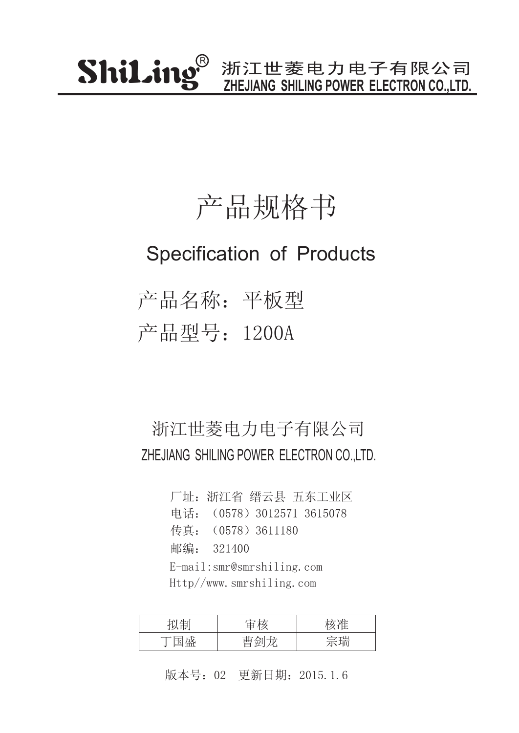### 产品规格书

#### Specification of Products

产品名称:平板型 产品型号:1200A

#### 浙江世菱电力电子有限公司 ZHEJIANG SHILING POWER ELECTRON CO.,LTD.

厂址:浙江省 缙云县 五东工业区 传真: (0578) 3611180 邮编: 321400 电话:(0578)3012571 3615078 E-mail:smr@smrshiling.com Http//www.smrshiling.com

| 7 H⊤l                                         | 나눈    |    |
|-----------------------------------------------|-------|----|
| 一心<br>$\overline{\phantom{a}}$<br>┯<br>علىلىك | $\pm$ | 今理 |

版本号:02 更新日期:2015.1.6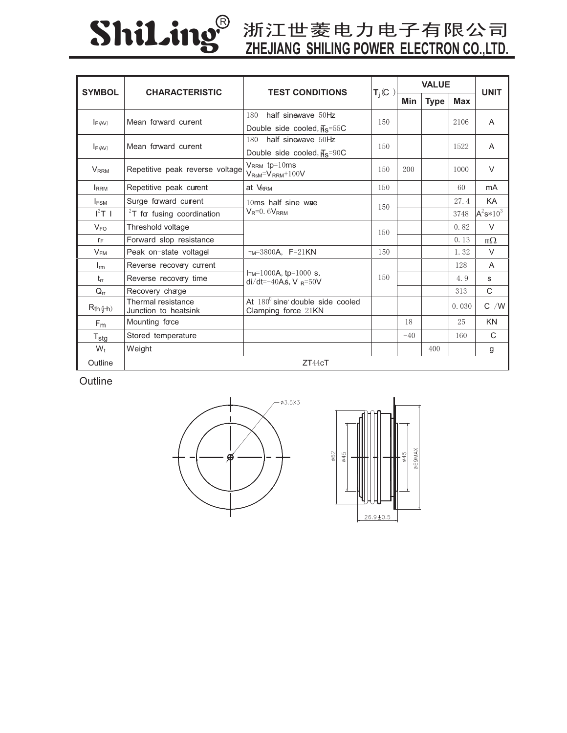# ShiLing®

## **ZHEJIANG SHILING POWER ELECTRON CO.,LTD.**

| <b>SYMBOL</b>             | <b>CHARACTERISTIC</b>                      | <b>TEST CONDITIONS</b>                                          | $T_i$ (C | <b>VALUE</b> |             |            | <b>UNIT</b>  |
|---------------------------|--------------------------------------------|-----------------------------------------------------------------|----------|--------------|-------------|------------|--------------|
|                           |                                            |                                                                 |          | Min          | <b>Type</b> | <b>Max</b> |              |
| $I_{F (AV)}$              | Mean forward current                       | half sinewave 50Hz<br>180                                       | 150      |              |             | 2106       | A            |
|                           |                                            | Double side cooled, $\overline{H}_{\rm S} = 55$ C               |          |              |             |            |              |
| F(AV)                     | Mean forward current                       | half sinewave 50Hz<br>180                                       | 150      |              |             | 1522       | A            |
|                           |                                            | Double side cooled, $\overline{H}_S$ =90C                       |          |              |             |            |              |
| <b>V</b> <sub>RRM</sub>   | Repetitive peak reverse voltage            | $V_{RRM}$ tp=10ms<br>$V_{\text{RsM}} = V_{\text{RRM}} + 100V$   | 150      | 200          |             | 1000       | $\vee$       |
| <b>IRRM</b>               | Repetitive peak curent                     | at VRRM                                                         | 150      |              |             | 60         | mA           |
| <b>IFSM</b>               | Surge forward current                      | 10ms half sine wae<br>$V_R = 0.6V_{RRM}$                        | 150      |              |             | 27.4       | KA           |
| $I^2T$ 1                  | $2T$ for fusing coordination               |                                                                 |          |              |             | 3748       | $A^2s*10^3$  |
| $V_{FO}$                  | Threshold voltage                          |                                                                 | 150      |              |             | 0.82       | $\vee$       |
| $r_F$                     | Forward slop resistance                    |                                                                 |          |              |             | 0.13       | $m\Omega$    |
| $V_{FM}$                  | Peak on-state voltagel                     | $TM=3800A$ , $F=21KN$                                           | 150      |              |             | 1.32       | $\vee$       |
| $I_{rm}$                  | Reverse recovery current                   | $ITM=1000A$ , tp=1000 s,<br>$di/dt = -40A\pm$ , V $_{R} = 50V$  | 150      |              |             | 128        | A            |
| $t_{rr}$                  | Reverse recovery time                      |                                                                 |          |              |             | 4.9        | S            |
| $Q_{rr}$                  | Recovery charge                            |                                                                 |          |              |             | 313        | $\mathsf{C}$ |
| $R_{th}(\hat{j}+\hat{k})$ | Thermal resistance<br>Junction to heatsink | At $180^{\circ}$ sine double side cooled<br>Clamping force 21KN |          |              |             | 0.030      | $C$ /W       |
| F <sub>m</sub>            | Mounting face                              |                                                                 |          | 18           |             | 25         | KN           |
| $T_{\text{stg}}$          | Stored temperature                         |                                                                 |          | $-40$        |             | 160        | C            |
| $W_t$                     | Weight                                     |                                                                 |          |              | 400         |            | g            |
| Outline                   |                                            | ZT44cT                                                          |          |              |             |            |              |

**Outline**